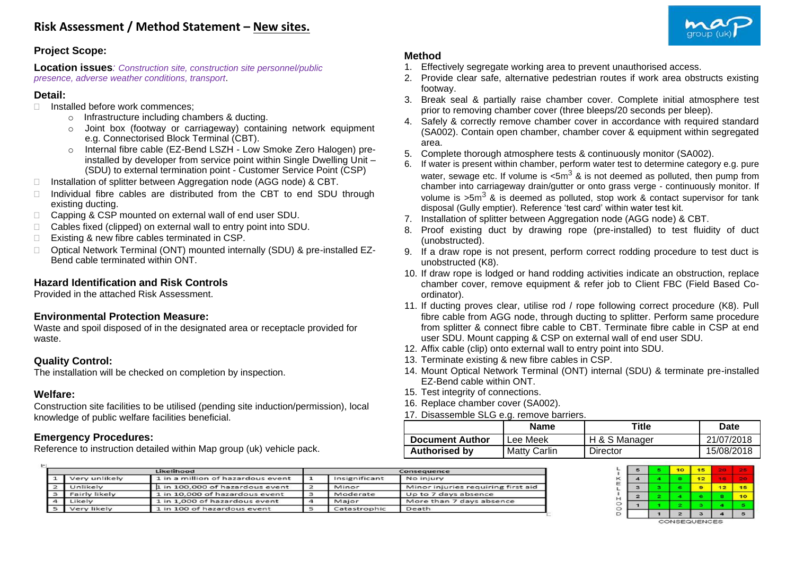

# **Project Scope:**

**Location issues***: Construction site, construction site personnel/public presence, adverse weather conditions, transport*.

### **Detail:**

- □ Installed before work commences:
	- o Infrastructure including chambers & ducting.
	- o Joint box (footway or carriageway) containing network equipment e.g. Connectorised Block Terminal (CBT).
	- Internal fibre cable (EZ-Bend LSZH Low Smoke Zero Halogen) preinstalled by developer from service point within Single Dwelling Unit – (SDU) to external termination point - Customer Service Point (CSP)
- $\Box$  Installation of splitter between Aggregation node (AGG node) & CBT.
- $\Box$  Individual fibre cables are distributed from the CBT to end SDU through existing ducting.
- □ Capping & CSP mounted on external wall of end user SDU.
- □ Cables fixed (clipped) on external wall to entry point into SDU.
- □ Existing & new fibre cables terminated in CSP.
- □ Optical Network Terminal (ONT) mounted internally (SDU) & pre-installed EZ-Bend cable terminated within ONT.

# **Hazard Identification and Risk Controls**

Provided in the attached Risk Assessment.

#### **Environmental Protection Measure:**

Waste and spoil disposed of in the designated area or receptacle provided for waste.

# **Quality Control:**

The installation will be checked on completion by inspection.

# **Welfare:**

Construction site facilities to be utilised (pending site induction/permission), local knowledge of public welfare facilities beneficial.

# **Emergency Procedures:**

Reference to instruction detailed within Map group (uk) vehicle pack.

# **Method**

- 1. Effectively segregate working area to prevent unauthorised access.
- 2. Provide clear safe, alternative pedestrian routes if work area obstructs existing footway.
- 3. Break seal & partially raise chamber cover. Complete initial atmosphere test prior to removing chamber cover (three bleeps/20 seconds per bleep).
- 4. Safely & correctly remove chamber cover in accordance with required standard (SA002). Contain open chamber, chamber cover & equipment within segregated area.
- 5. Complete thorough atmosphere tests & continuously monitor (SA002).
- If water is present within chamber, perform water test to determine category e.g. pure water, sewage etc. If volume is  $\text{&5m}^3$  & is not deemed as polluted, then pump from chamber into carriageway drain/gutter or onto grass verge - continuously monitor. If volume is  $>5m^3$  & is deemed as polluted, stop work & contact supervisor for tank disposal (Gully emptier). Reference 'test card' within water test kit.
- 7. Installation of splitter between Aggregation node (AGG node) & CBT.
- 8. Proof existing duct by drawing rope (pre-installed) to test fluidity of duct (unobstructed).
- 9. If a draw rope is not present, perform correct rodding procedure to test duct is unobstructed (K8).
- 10. If draw rope is lodged or hand rodding activities indicate an obstruction, replace chamber cover, remove equipment & refer job to Client FBC (Field Based Coordinator).
- 11. If ducting proves clear, utilise rod / rope following correct procedure (K8). Pull fibre cable from AGG node, through ducting to splitter. Perform same procedure from splitter & connect fibre cable to CBT. Terminate fibre cable in CSP at end user SDU. Mount capping & CSP on external wall of end user SDU.
- 12. Affix cable (clip) onto external wall to entry point into SDU.
- 13. Terminate existing & new fibre cables in CSP.
- 14. Mount Optical Network Terminal (ONT) internal (SDU) & terminate pre-installed EZ-Bend cable within ONT.
- 15. Test integrity of connections.
- 16. Replace chamber cover (SA002).
- 17. Disassemble SLG e.g. remove barriers.

|                        | Name         | ⊤itle         | Date       |
|------------------------|--------------|---------------|------------|
| <b>Document Author</b> | Lee Meek     | H & S Manager | 21/07/2018 |
| <b>Authorised by</b>   | Matty Carlin | Director      | 15/08/2018 |

|          |               | Likelihood                        | Consequence   |                                    |  |  |
|----------|---------------|-----------------------------------|---------------|------------------------------------|--|--|
|          | Very unlikely | 1 in a million of hazardous event | Insignificant | No injury                          |  |  |
|          | Unlikely      | 1 in 100,000 of hazardous event   | Minor         | Minor injuries requiring first aid |  |  |
| 3        | Fairly likely | 1 in 10,000 of hazardous event    | Moderate      | Up to 7 days absence               |  |  |
| $\Delta$ | Likely        | 1 in 1,000 of hazardous event     | Major         | More than 7 days absence           |  |  |
|          | Very likely   | 1 in 100 of hazardous event       | Catastrophic  | Death                              |  |  |

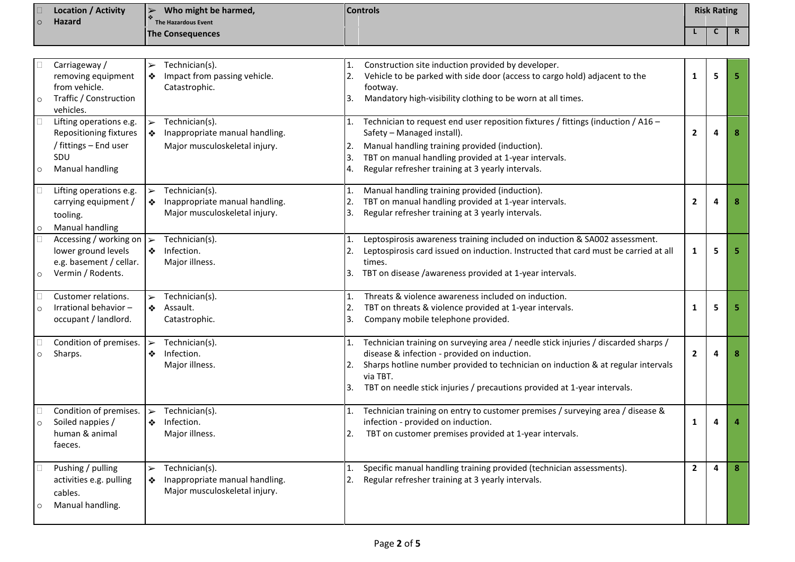| $\circ$      | <b>Location / Activity</b><br>Hazard                                                                        | Who might be harmed,<br>$\blacktriangleright$<br>The Hazardous Event                                            | <b>Controls</b>                                                                                                                                                                                                                                                                                                |              |   | <b>Risk Rating</b> |  |
|--------------|-------------------------------------------------------------------------------------------------------------|-----------------------------------------------------------------------------------------------------------------|----------------------------------------------------------------------------------------------------------------------------------------------------------------------------------------------------------------------------------------------------------------------------------------------------------------|--------------|---|--------------------|--|
|              |                                                                                                             | <b>The Consequences</b>                                                                                         |                                                                                                                                                                                                                                                                                                                |              | C | $\mathsf{R}$       |  |
|              |                                                                                                             |                                                                                                                 |                                                                                                                                                                                                                                                                                                                |              |   |                    |  |
| $\circ$      | Carriageway /<br>removing equipment<br>from vehicle.<br>Traffic / Construction<br>vehicles.                 | Technician(s).<br>$\blacktriangleright$<br>Impact from passing vehicle.<br>❖<br>Catastrophic.                   | Construction site induction provided by developer.<br>Vehicle to be parked with side door (access to cargo hold) adjacent to the<br>footway.<br>Mandatory high-visibility clothing to be worn at all times.                                                                                                    | 1            | 5 | 5.                 |  |
| u<br>$\circ$ | Lifting operations e.g.<br>Repositioning fixtures<br>/ fittings - End user<br>SDU<br><b>Manual handling</b> | Technician(s).<br>❖<br>Inappropriate manual handling.<br>Major musculoskeletal injury.                          | Technician to request end user reposition fixtures / fittings (induction / A16 -<br>Safety - Managed install).<br>Manual handling training provided (induction).<br>2.<br>TBT on manual handling provided at 1-year intervals.<br>I3.<br>Regular refresher training at 3 yearly intervals.<br>4.               | 2            | 4 | 8                  |  |
| u<br>$\circ$ | Lifting operations e.g.<br>carrying equipment /<br>tooling.<br>Manual handling                              | Technician(s).<br>$\blacktriangleright$<br>❖<br>Inappropriate manual handling.<br>Major musculoskeletal injury. | Manual handling training provided (induction).<br>1.<br>TBT on manual handling provided at 1-year intervals.<br>2.<br>Regular refresher training at 3 yearly intervals.<br>3.                                                                                                                                  | 2            | 4 | 8                  |  |
| $\circ$      | Accessing / working on<br>lower ground levels<br>e.g. basement / cellar.<br>Vermin / Rodents.               | Technician(s).<br>$\blacktriangleright$<br>Infection.<br>$\mathcal{L}^{\bullet}$<br>Major illness.              | Leptospirosis awareness training included on induction & SA002 assessment.<br>1.<br>Leptospirosis card issued on induction. Instructed that card must be carried at all<br>times.<br>TBT on disease /awareness provided at 1-year intervals.                                                                   | 1            | 5 | 5.                 |  |
| $\circ$      | Customer relations.<br>Irrational behavior-<br>occupant / landlord.                                         | Technician(s).<br>Assault.<br>❖<br>Catastrophic.                                                                | Threats & violence awareness included on induction.<br>1.<br>TBT on threats & violence provided at 1-year intervals.<br>2.<br>Company mobile telephone provided.<br>3.                                                                                                                                         | 1            | 5 | 5                  |  |
| $\circ$      | Condition of premises.<br>Sharps.                                                                           | Technician(s).<br>$\blacktriangleright$<br>Infection.<br>❖<br>Major illness.                                    | Technician training on surveying area / needle stick injuries / discarded sharps /<br>disease & infection - provided on induction.<br>Sharps hotline number provided to technician on induction & at regular intervals<br>via TBT.<br>TBT on needle stick injuries / precautions provided at 1-year intervals. | $\mathbf{2}$ | 4 | 8                  |  |
| $\circ$      | Condition of premises.<br>Soiled nappies /<br>human & animal<br>faeces.                                     | Technician(s).<br>❖<br>Infection.<br>Major illness.                                                             | Technician training on entry to customer premises / surveying area / disease &<br>infection - provided on induction.<br>TBT on customer premises provided at 1-year intervals.                                                                                                                                 | 1            | 4 |                    |  |
| $\circ$      | Pushing / pulling<br>activities e.g. pulling<br>cables.<br>Manual handling.                                 | Technician(s).<br>$\blacktriangleright$<br>Inappropriate manual handling.<br>❖<br>Major musculoskeletal injury. | Specific manual handling training provided (technician assessments).<br>1.<br>Regular refresher training at 3 yearly intervals.<br>2.                                                                                                                                                                          | $\mathbf{2}$ | 4 | 8 <sup>°</sup>     |  |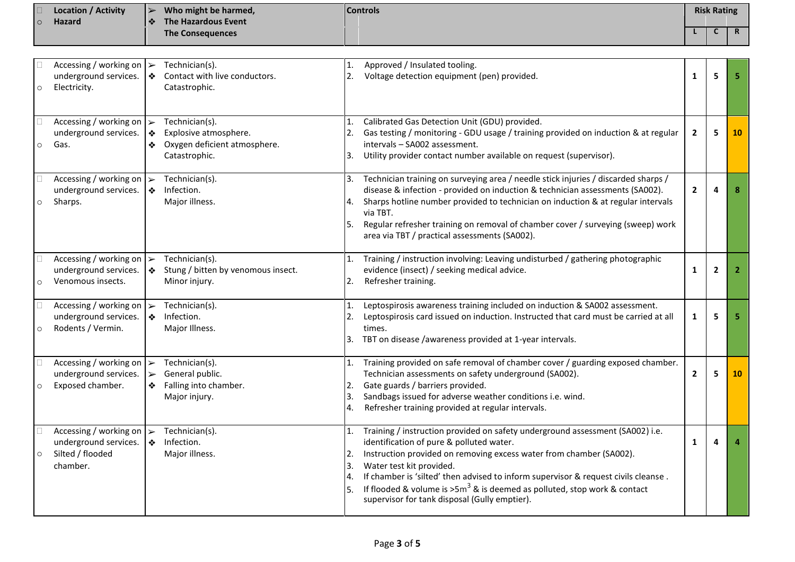|         | <b>Location / Activity</b> | $\blacktriangleright$ | Who might be harmed,    | Controls | <b>Risk Rating</b> |  |
|---------|----------------------------|-----------------------|-------------------------|----------|--------------------|--|
| $\circ$ | <b>Hazard</b>              | $\mathbf{A}$          | The Hazardous Event     |          |                    |  |
|         |                            |                       | <b>The Consequences</b> |          |                    |  |

| $\circ$ | Accessing / working on $\triangleright$<br>underground services.<br>Electricity.      | $\frac{1}{2}$                                       | Technician(s).<br>Contact with live conductors.<br>Catastrophic.                         | 2.                         | Approved / Insulated tooling.<br>Voltage detection equipment (pen) provided.                                                                                                                                                                                                                                                                                                                                                                       | 1              | 5              | 5              |
|---------|---------------------------------------------------------------------------------------|-----------------------------------------------------|------------------------------------------------------------------------------------------|----------------------------|----------------------------------------------------------------------------------------------------------------------------------------------------------------------------------------------------------------------------------------------------------------------------------------------------------------------------------------------------------------------------------------------------------------------------------------------------|----------------|----------------|----------------|
| $\circ$ | Accessing / working on $\triangleright$<br>underground services.<br>Gas.              | ❖<br>❖                                              | Technician(s).<br>Explosive atmosphere.<br>Oxygen deficient atmosphere.<br>Catastrophic. | 1.<br>2.<br>3.             | Calibrated Gas Detection Unit (GDU) provided.<br>Gas testing / monitoring - GDU usage / training provided on induction & at regular<br>intervals - SA002 assessment.<br>Utility provider contact number available on request (supervisor).                                                                                                                                                                                                         | $\overline{2}$ | 5              | 10             |
| $\circ$ | Accessing / working on $\triangleright$<br>underground services.<br>Sharps.           | ❖                                                   | Technician(s).<br>Infection.<br>Major illness.                                           | 3.<br>4.<br>5.             | Technician training on surveying area / needle stick injuries / discarded sharps /<br>disease & infection - provided on induction & technician assessments (SA002).<br>Sharps hotline number provided to technician on induction & at regular intervals<br>via TBT.<br>Regular refresher training on removal of chamber cover / surveying (sweep) work<br>area via TBT / practical assessments (SA002).                                            | $\mathbf{2}$   | Δ              | 8              |
| $\circ$ | Accessing / working on<br>underground services.<br>Venomous insects.                  | $\blacktriangleright$<br>❖                          | Technician(s).<br>Stung / bitten by venomous insect.<br>Minor injury.                    | 1.<br>2.                   | Training / instruction involving: Leaving undisturbed / gathering photographic<br>evidence (insect) / seeking medical advice.<br>Refresher training.                                                                                                                                                                                                                                                                                               | 1              | $\overline{2}$ | $\overline{2}$ |
| $\circ$ | Accessing / working on $\triangleright$<br>underground services.<br>Rodents / Vermin. | $\bullet$                                           | Technician(s).<br>Infection.<br>Major Illness.                                           | 1.<br>2.<br>3.             | Leptospirosis awareness training included on induction & SA002 assessment.<br>Leptospirosis card issued on induction. Instructed that card must be carried at all<br>times.<br>TBT on disease /awareness provided at 1-year intervals.                                                                                                                                                                                                             | $\mathbf{1}$   | 5              | 5              |
| $\circ$ | Accessing / working on<br>underground services.<br>Exposed chamber.                   | $\blacktriangleright$<br>$\blacktriangleright$<br>❖ | Technician(s).<br>General public.<br>Falling into chamber.<br>Major injury.              | 1.<br>2.<br>3.<br>4.       | Training provided on safe removal of chamber cover / guarding exposed chamber.<br>Technician assessments on safety underground (SA002).<br>Gate guards / barriers provided.<br>Sandbags issued for adverse weather conditions i.e. wind.<br>Refresher training provided at regular intervals.                                                                                                                                                      | $\overline{2}$ | 5              | 10             |
| $\circ$ | Accessing / working on<br>underground services.<br>Silted / flooded<br>chamber.       | $\blacktriangleright$<br>$\frac{1}{2}$              | Technician(s).<br>Infection.<br>Major illness.                                           | 1.<br>2.<br>3.<br>4.<br>5. | Training / instruction provided on safety underground assessment (SA002) i.e.<br>identification of pure & polluted water.<br>Instruction provided on removing excess water from chamber (SA002).<br>Water test kit provided.<br>If chamber is 'silted' then advised to inform supervisor & request civils cleanse.<br>If flooded & volume is $>5m^3$ & is deemed as polluted, stop work & contact<br>supervisor for tank disposal (Gully emptier). | $\mathbf{1}$   | $\Delta$       |                |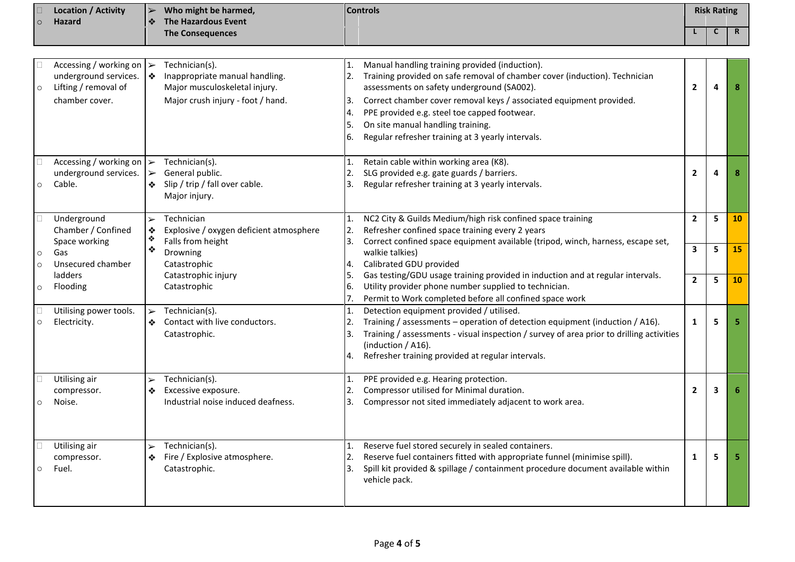| $\circ$                       | <b>Location / Activity</b><br><b>Hazard</b>                                                                | Who might be harmed,<br><b>Controls</b><br>$\blacktriangleright$<br><b>The Hazardous Event</b><br>❖ |                                                                                                                        |                            | <b>Risk Rating</b>                                                                                                                                                                                                                                                                                                                                                                          |                     |        |             |
|-------------------------------|------------------------------------------------------------------------------------------------------------|-----------------------------------------------------------------------------------------------------|------------------------------------------------------------------------------------------------------------------------|----------------------------|---------------------------------------------------------------------------------------------------------------------------------------------------------------------------------------------------------------------------------------------------------------------------------------------------------------------------------------------------------------------------------------------|---------------------|--------|-------------|
|                               |                                                                                                            |                                                                                                     | <b>The Consequences</b>                                                                                                |                            |                                                                                                                                                                                                                                                                                                                                                                                             |                     | C      | $\mathbf R$ |
|                               |                                                                                                            |                                                                                                     |                                                                                                                        |                            |                                                                                                                                                                                                                                                                                                                                                                                             |                     |        |             |
|                               | Accessing / working on $\triangleright$<br>underground services.<br>Lifting / removal of<br>chamber cover. | I❖                                                                                                  | Technician(s).<br>Inappropriate manual handling.<br>Major musculoskeletal injury.<br>Major crush injury - foot / hand. | 2.<br>Β.<br>4.<br>5.<br>6. | Manual handling training provided (induction).<br>Training provided on safe removal of chamber cover (induction). Technician<br>assessments on safety underground (SA002).<br>Correct chamber cover removal keys / associated equipment provided.<br>PPE provided e.g. steel toe capped footwear.<br>On site manual handling training.<br>Regular refresher training at 3 yearly intervals. | $\overline{2}$      | 4      | 8           |
| $\circ$                       | Accessing / working on $\triangleright$<br>underground services.<br>Cable.                                 | $\triangleright$<br>❖                                                                               | Technician(s).<br>General public.<br>Slip / trip / fall over cable.<br>Major injury.                                   | 2.<br>Β.                   | Retain cable within working area (K8).<br>SLG provided e.g. gate guards / barriers.<br>Regular refresher training at 3 yearly intervals.                                                                                                                                                                                                                                                    | $\overline{2}$      | 4      | 8           |
|                               | Underground<br>Chamber / Confined<br>Space working                                                         | $\blacktriangleright$<br>❖<br>❖                                                                     | Technician<br>Explosive / oxygen deficient atmosphere<br>Falls from height                                             | 2.<br>3.                   | NC2 City & Guilds Medium/high risk confined space training<br>Refresher confined space training every 2 years<br>Correct confined space equipment available (tripod, winch, harness, escape set,                                                                                                                                                                                            | $\overline{2}$      | 5      | <b>10</b>   |
| $\circ$<br>$\circ$<br>$\circ$ | Gas<br>Unsecured chamber<br>ladders<br>Flooding                                                            | ❖                                                                                                   | Drowning<br>Catastrophic<br>Catastrophic injury<br>Catastrophic                                                        | 4.<br>5.<br>۱6.            | walkie talkies)<br>Calibrated GDU provided<br>Gas testing/GDU usage training provided in induction and at regular intervals.<br>Utility provider phone number supplied to technician.                                                                                                                                                                                                       | 3<br>$\overline{2}$ | 5<br>5 | 15<br>10    |
| $\circ$                       | Utilising power tools.<br>Electricity.                                                                     | $\blacktriangleright$<br>❖                                                                          | Technician(s).<br>Contact with live conductors.<br>Catastrophic.                                                       | 1.<br>3.<br>4.             | Permit to Work completed before all confined space work<br>Detection equipment provided / utilised.<br>Training / assessments - operation of detection equipment (induction / A16).<br>Training / assessments - visual inspection / survey of area prior to drilling activities<br>(induction / A16).<br>Refresher training provided at regular intervals.                                  | $\mathbf{1}$        | 5      | 5           |
| $\circ$                       | Utilising air<br>compressor.<br>Noise.                                                                     | $\blacktriangleright$<br>❖                                                                          | Technician(s).<br>Excessive exposure.<br>Industrial noise induced deafness.                                            | 1.<br>2.<br>3.             | PPE provided e.g. Hearing protection.<br>Compressor utilised for Minimal duration.<br>Compressor not sited immediately adjacent to work area.                                                                                                                                                                                                                                               | $\overline{2}$      | 3      |             |
| $\circ$                       | Utilising air<br>compressor.<br>Fuel.                                                                      | $\blacktriangleright$<br>❖                                                                          | Technician(s).<br>Fire / Explosive atmosphere.<br>Catastrophic.                                                        | 1.<br>2.<br>3.             | Reserve fuel stored securely in sealed containers.<br>Reserve fuel containers fitted with appropriate funnel (minimise spill).<br>Spill kit provided & spillage / containment procedure document available within<br>vehicle pack.                                                                                                                                                          | $\mathbf{1}$        | 5      | 5.          |